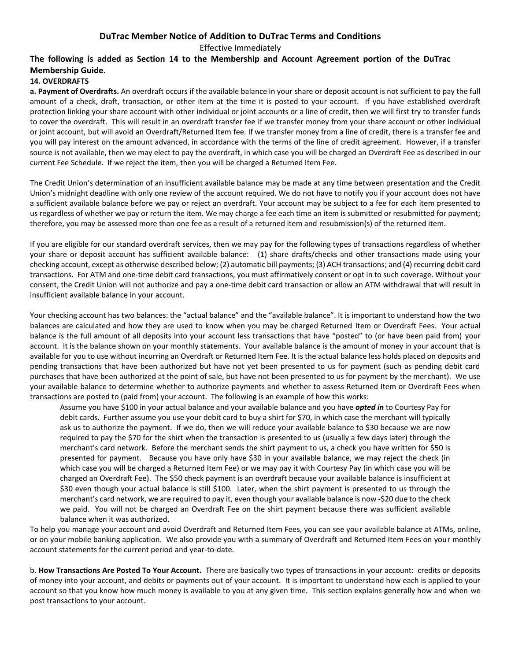# **DuTrac Member Notice of Addition to DuTrac Terms and Conditions**

Effective Immediately

## **The following is added as Section 14 to the Membership and Account Agreement portion of the DuTrac Membership Guide.**

#### **14. OVERDRAFTS**

**a. Payment of Overdrafts.** An overdraft occurs if the available balance in your share or deposit account is not sufficient to pay the full amount of a check, draft, transaction, or other item at the time it is posted to your account. If you have established overdraft protection linking your share account with other individual or joint accounts or a line of credit, then we will first try to transfer funds to cover the overdraft. This will result in an overdraft transfer fee if we transfer money from your share account or other individual or joint account, but will avoid an Overdraft/Returned Item fee. If we transfer money from a line of credit, there is a transfer fee and you will pay interest on the amount advanced, in accordance with the terms of the line of credit agreement. However, if a transfer source is not available, then we may elect to pay the overdraft, in which case you will be charged an Overdraft Fee as described in our current Fee Schedule. If we reject the item, then you will be charged a Returned Item Fee.

The Credit Union's determination of an insufficient available balance may be made at any time between presentation and the Credit Union's midnight deadline with only one review of the account required. We do not have to notify you if your account does not have a sufficient available balance before we pay or reject an overdraft. Your account may be subject to a fee for each item presented to us regardless of whether we pay or return the item. We may charge a fee each time an item is submitted or resubmitted for payment; therefore, you may be assessed more than one fee as a result of a returned item and resubmission(s) of the returned item.

If you are eligible for our standard overdraft services, then we may pay for the following types of transactions regardless of whether your share or deposit account has sufficient available balance: (1) share drafts/checks and other transactions made using your checking account, except as otherwise described below; (2) automatic bill payments; (3) ACH transactions; and (4) recurring debit card transactions. For ATM and one-time debit card transactions, you must affirmatively consent or opt in to such coverage. Without your consent, the Credit Union will not authorize and pay a one-time debit card transaction or allow an ATM withdrawal that will result in insufficient available balance in your account.

Your checking account has two balances: the "actual balance" and the "available balance". It is important to understand how the two balances are calculated and how they are used to know when you may be charged Returned Item or Overdraft Fees. Your actual balance is the full amount of all deposits into your account less transactions that have "posted" to (or have been paid from) your account. It is the balance shown on your monthly statements. Your available balance is the amount of money in your account that is available for you to use without incurring an Overdraft or Returned Item Fee. It is the actual balance less holds placed on deposits and pending transactions that have been authorized but have not yet been presented to us for payment (such as pending debit card purchases that have been authorized at the point of sale, but have not been presented to us for payment by the merchant). We use your available balance to determine whether to authorize payments and whether to assess Returned Item or Overdraft Fees when transactions are posted to (paid from) your account. The following is an example of how this works:

Assume you have \$100 in your actual balance and your available balance and you have *opted in* to Courtesy Pay for debit cards. Further assume you use your debit card to buy a shirt for \$70, in which case the merchant will typically ask us to authorize the payment. If we do, then we will reduce your available balance to \$30 because we are now required to pay the \$70 for the shirt when the transaction is presented to us (usually a few days later) through the merchant's card network. Before the merchant sends the shirt payment to us, a check you have written for \$50 is presented for payment. Because you have only have \$30 in your available balance, we may reject the check (in which case you will be charged a Returned Item Fee) or we may pay it with Courtesy Pay (in which case you will be charged an Overdraft Fee). The \$50 check payment is an overdraft because your available balance is insufficient at \$30 even though your actual balance is still \$100. Later, when the shirt payment is presented to us through the merchant's card network, we are required to pay it, even though your available balance is now -\$20 due to the check we paid. You will not be charged an Overdraft Fee on the shirt payment because there was sufficient available balance when it was authorized.

To help you manage your account and avoid Overdraft and Returned Item Fees, you can see your available balance at ATMs, online, or on your mobile banking application. We also provide you with a summary of Overdraft and Returned Item Fees on your monthly account statements for the current period and year-to-date.

b. **How Transactions Are Posted To Your Account.** There are basically two types of transactions in your account: credits or deposits of money into your account, and debits or payments out of your account. It is important to understand how each is applied to your account so that you know how much money is available to you at any given time. This section explains generally how and when we post transactions to your account.